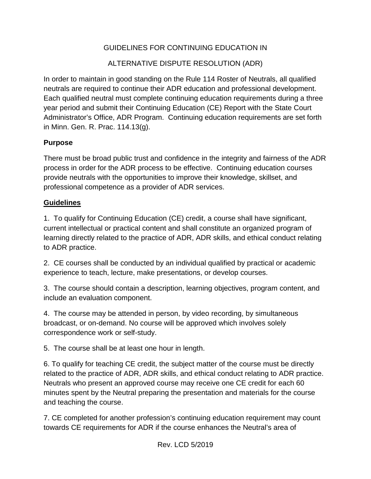## GUIDELINES FOR CONTINUING EDUCATION IN

## ALTERNATIVE DISPUTE RESOLUTION (ADR)

In order to maintain in good standing on the Rule 114 Roster of Neutrals, all qualified neutrals are required to continue their ADR education and professional development. Each qualified neutral must complete continuing education requirements during a three year period and submit their Continuing Education (CE) Report with the State Court Administrator's Office, ADR Program. Continuing education requirements are set forth in Minn. Gen. R. Prac. 114.13(g).

## **Purpose**

There must be broad public trust and confidence in the integrity and fairness of the ADR process in order for the ADR process to be effective. Continuing education courses provide neutrals with the opportunities to improve their knowledge, skillset, and professional competence as a provider of ADR services.

## **Guidelines**

1. To qualify for Continuing Education (CE) credit, a course shall have significant, current intellectual or practical content and shall constitute an organized program of learning directly related to the practice of ADR, ADR skills, and ethical conduct relating to ADR practice.

2. CE courses shall be conducted by an individual qualified by practical or academic experience to teach, lecture, make presentations, or develop courses.

3. The course should contain a description, learning objectives, program content, and include an evaluation component.

4. The course may be attended in person, by video recording, by simultaneous broadcast, or on-demand. No course will be approved which involves solely correspondence work or self-study.

5. The course shall be at least one hour in length.

6. To qualify for teaching CE credit, the subject matter of the course must be directly related to the practice of ADR, ADR skills, and ethical conduct relating to ADR practice. Neutrals who present an approved course may receive one CE credit for each 60 minutes spent by the Neutral preparing the presentation and materials for the course and teaching the course.

7. CE completed for another profession's continuing education requirement may count towards CE requirements for ADR if the course enhances the Neutral's area of